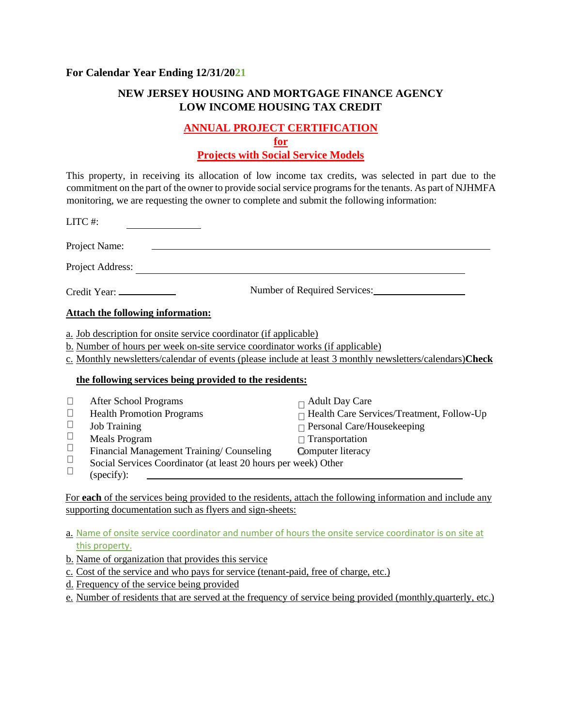## **For Calendar Year Ending 12/31/2021**

## **NEW JERSEY HOUSING AND MORTGAGE FINANCE AGENCY LOW INCOME HOUSING TAX CREDIT**

## **ANNUAL PROJECT CERTIFICATION for Projects with Social Service Models**

This property, in receiving its allocation of low income tax credits, was selected in part due to the commitment on the part of the owner to provide social service programs for the tenants. As part of NJHMFA monitoring, we are requesting the owner to complete and submit the following information:

LITC #: Project Name: Project Address: Number of Required Services:Credit Year: **Attach the following information:** a. Job description for onsite service coordinator (if applicable) b. Number of hours per week on-site service coordinator works (if applicable) c. Monthly newsletters/calendar of events (please include at least 3 monthly newsletters/calendars)**Check the following services being provided to the residents:**  $\Box$ After School Programs  $\Box$  Adult Day Care  $\Box$ Health Promotion Programs  $\Box$  Health Care Services/Treatment, Follow-Up  $\Box$ Job Training  $\Box$  Personal Care/Housekeeping

- $\Box$ Meals Program  $\Box$  Transportation  $\Box$ Financial Management Training/ Counseling Computer literacy
- $\Box$ Social Services Coordinator (at least 20 hours per week) Other
- $\Box$ (specify):

For **each** of the services being provided to the residents, attach the following information and include any supporting documentation such as flyers and sign-sheets:

- a. Name of onsite service coordinator and number of hours the onsite service coordinator is on site at this property.
- b. Name of organization that provides this service
- c. Cost of the service and who pays for service (tenant-paid, free of charge, etc.)
- d. Frequency of the service being provided
- e. Number of residents that are served at the frequency of service being provided (monthly,quarterly, etc.)